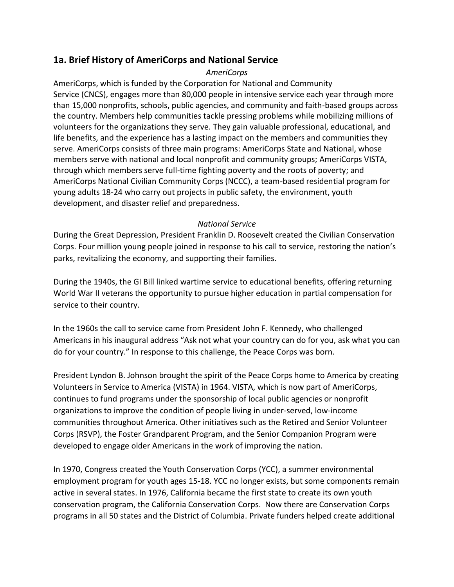## **1a. Brief History of AmeriCorps and National Service**

## *AmeriCorps*

AmeriCorps, which is funded by the Corporation for National and Community Service (CNCS), engages more than 80,000 people in intensive service each year through more than 15,000 nonprofits, schools, public agencies, and community and faith-based groups across the country. Members help communities tackle pressing problems while mobilizing millions of volunteers for the organizations they serve. They gain valuable professional, educational, and life benefits, and the experience has a lasting impact on the members and communities they serve. AmeriCorps consists of three main programs: AmeriCorps State and National, whose members serve with national and local nonprofit and community groups; AmeriCorps VISTA, through which members serve full-time fighting poverty and the roots of poverty; and AmeriCorps National Civilian Community Corps (NCCC), a team-based residential program for young adults 18-24 who carry out projects in public safety, the environment, youth development, and disaster relief and preparedness.

## *National Service*

During the Great Depression, President Franklin D. Roosevelt created the Civilian Conservation Corps. Four million young people joined in response to his call to service, restoring the nation's parks, revitalizing the economy, and supporting their families.

During the 1940s, the GI Bill linked wartime service to educational benefits, offering returning World War II veterans the opportunity to pursue higher education in partial compensation for service to their country.

In the 1960s the call to service came from President John F. Kennedy, who challenged Americans in his inaugural address "Ask not what your country can do for you, ask what you can do for your country." In response to this challenge, the Peace Corps was born.

President Lyndon B. Johnson brought the spirit of the Peace Corps home to America by creating Volunteers in Service to America (VISTA) in 1964. VISTA, which is now part of AmeriCorps, continues to fund programs under the sponsorship of local public agencies or nonprofit organizations to improve the condition of people living in under-served, low-income communities throughout America. Other initiatives such as the Retired and Senior Volunteer Corps (RSVP), the Foster Grandparent Program, and the Senior Companion Program were developed to engage older Americans in the work of improving the nation.

In 1970, Congress created the Youth Conservation Corps (YCC), a summer environmental employment program for youth ages 15-18. YCC no longer exists, but some components remain active in several states. In 1976, California became the first state to create its own youth conservation program, the California Conservation Corps. Now there are Conservation Corps programs in all 50 states and the District of Columbia. Private funders helped create additional